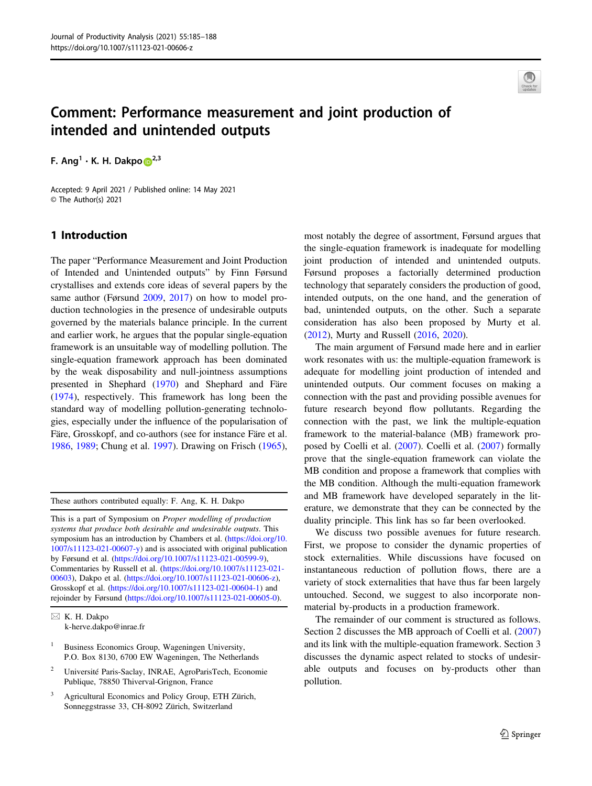

# Comment: Performance measurement and joint production of intended and unintended outputs

г. Ang → к. н. Dakp[o](http://orcid.org/0000-0002-6114-7896) <mark>D</mark>

Accepted: 9 April 2021 / Published online: 14 May 2021 © The Author(s) 2021

## 1 Introduction

The paper "Performance Measurement and Joint Production of Intended and Unintended outputs" by Finn Førsund crystallises and extends core ideas of several papers by the same author (Førsund [2009](#page-3-0), [2017](#page-3-0)) on how to model production technologies in the presence of undesirable outputs governed by the materials balance principle. In the current and earlier work, he argues that the popular single-equation framework is an unsuitable way of modelling pollution. The single-equation framework approach has been dominated by the weak disposability and null-jointness assumptions presented in Shephard ([1970\)](#page-3-0) and Shephard and Färe [\(1974](#page-3-0)), respectively. This framework has long been the standard way of modelling pollution-generating technologies, especially under the influence of the popularisation of Färe, Grosskopf, and co-authors (see for instance Färe et al. [1986,](#page-3-0) [1989](#page-3-0); Chung et al. [1997\)](#page-3-0). Drawing on Frisch [\(1965](#page-3-0)),

These authors contributed equally: F. Ang, K. H. Dakpo

This is a part of Symposium on Proper modelling of production systems that produce both desirable and undesirable outputs. This symposium has an introduction by Chambers et al. ([https://doi.org/10.](https://doi.org/10.1007/s11123-021-00607-y) [1007/s11123-021-00607-y\)](https://doi.org/10.1007/s11123-021-00607-y) and is associated with original publication by Førsund et al. [\(https://doi.org/10.1007/s11123-021-00599-9](https://doi.org/10.1007/s11123-021-00599-9)), Commentaries by Russell et al. [\(https://doi.org/10.1007/s11123-021-](https://doi.org/10.1007/s11123-021-00603) [00603](https://doi.org/10.1007/s11123-021-00603)), Dakpo et al. (<https://doi.org/10.1007/s11123-021-00606-z>), Grosskopf et al. [\(https://doi.org/10.1007/s11123-021-00604-1\)](https://doi.org/10.1007/s11123-021-00604-1) and rejoinder by Førsund [\(https://doi.org/10.1007/s11123-021-00605-0\)](https://doi.org/10.1007/s11123-021-00605-0).

 $\boxtimes$  K. H. Dakpo [k-herve.dakpo@inrae.fr](mailto:k-herve.dakpo@inrae.fr)

- $1$  Business Economics Group, Wageningen University, P.O. Box 8130, 6700 EW Wageningen, The Netherlands
- <sup>2</sup> Université Paris-Saclay, INRAE, AgroParisTech, Economie Publique, 78850 Thiverval-Grignon, France
- <sup>3</sup> Agricultural Economics and Policy Group, ETH Zürich, Sonneggstrasse 33, CH-8092 Zürich, Switzerland

most notably the degree of assortment, Førsund argues that the single-equation framework is inadequate for modelling joint production of intended and unintended outputs. Førsund proposes a factorially determined production technology that separately considers the production of good, intended outputs, on the one hand, and the generation of bad, unintended outputs, on the other. Such a separate consideration has also been proposed by Murty et al. [\(2012](#page-3-0)), Murty and Russell ([2016,](#page-3-0) [2020\)](#page-3-0).

The main argument of Førsund made here and in earlier work resonates with us: the multiple-equation framework is adequate for modelling joint production of intended and unintended outputs. Our comment focuses on making a connection with the past and providing possible avenues for future research beyond flow pollutants. Regarding the connection with the past, we link the multiple-equation framework to the material-balance (MB) framework proposed by Coelli et al. [\(2007](#page-3-0)). Coelli et al. ([2007\)](#page-3-0) formally prove that the single-equation framework can violate the MB condition and propose a framework that complies with the MB condition. Although the multi-equation framework and MB framework have developed separately in the literature, we demonstrate that they can be connected by the duality principle. This link has so far been overlooked.

We discuss two possible avenues for future research. First, we propose to consider the dynamic properties of stock externalities. While discussions have focused on instantaneous reduction of pollution flows, there are a variety of stock externalities that have thus far been largely untouched. Second, we suggest to also incorporate nonmaterial by-products in a production framework.

The remainder of our comment is structured as follows. Section 2 discusses the MB approach of Coelli et al. [\(2007](#page-3-0)) and its link with the multiple-equation framework. Section 3 discusses the dynamic aspect related to stocks of undesirable outputs and focuses on by-products other than pollution.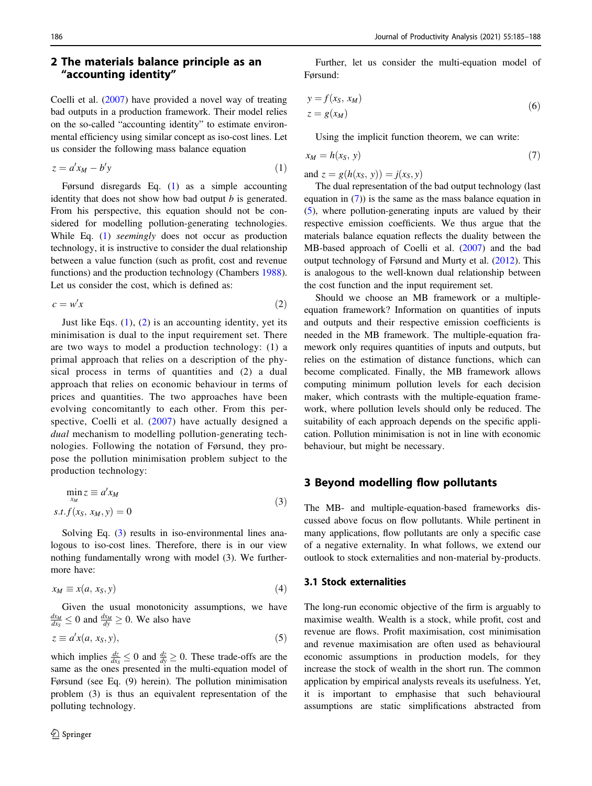## 2 The materials balance principle as an "accounting identity"

Coelli et al. ([2007\)](#page-3-0) have provided a novel way of treating bad outputs in a production framework. Their model relies on the so-called "accounting identity" to estimate environmental efficiency using similar concept as iso-cost lines. Let us consider the following mass balance equation

$$
z = a'x_M - b'y \tag{1}
$$

Førsund disregards Eq. (1) as a simple accounting identity that does not show how bad output  $b$  is generated. From his perspective, this equation should not be considered for modelling pollution-generating technologies. While Eq. (1) *seemingly* does not occur as production technology, it is instructive to consider the dual relationship between a value function (such as profit, cost and revenue functions) and the production technology (Chambers [1988](#page-3-0)). Let us consider the cost, which is defined as:

$$
c = w'x \tag{2}
$$

Just like Eqs.  $(1)$ ,  $(2)$  is an accounting identity, yet its minimisation is dual to the input requirement set. There are two ways to model a production technology: (1) a primal approach that relies on a description of the physical process in terms of quantities and (2) a dual approach that relies on economic behaviour in terms of prices and quantities. The two approaches have been evolving concomitantly to each other. From this perspective, Coelli et al. ([2007](#page-3-0)) have actually designed a dual mechanism to modelling pollution-generating technologies. Following the notation of Førsund, they propose the pollution minimisation problem subject to the production technology:

$$
\min_{x_M} z \equiv a' x_M
$$
  
s.t.  $f(x_S, x_M, y) = 0$  (3)

Solving Eq. (3) results in iso-environmental lines analogous to iso-cost lines. Therefore, there is in our view nothing fundamentally wrong with model (3). We furthermore have:

$$
x_M \equiv x(a, x_S, y) \tag{4}
$$

Given the usual monotonicity assumptions, we have  $\frac{dx_M}{dx_S} \le 0$  and  $\frac{dx_M}{dy} \ge 0$ . We also have

$$
z \equiv a'x(a, x_S, y), \tag{5}
$$

which implies  $\frac{dz}{dx} \leq 0$  and  $\frac{dz}{dy} \geq 0$ . These trade-offs are the same as the ones presented in the multi-equation model of Førsund (see Eq. (9) herein). The pollution minimisation problem (3) is thus an equivalent representation of the polluting technology.

Further, let us consider the multi-equation model of Førsund:

$$
y = f(x_S, x_M)
$$
  
\n
$$
z = g(x_M)
$$
\n(6)

Using the implicit function theorem, we can write:

$$
x_M = h(x_S, y) \tag{7}
$$

and  $z = g(h(x_S, y)) = j(x_S, y)$ 

The dual representation of the bad output technology (last equation in (7)) is the same as the mass balance equation in (5), where pollution-generating inputs are valued by their respective emission coefficients. We thus argue that the materials balance equation reflects the duality between the MB-based approach of Coelli et al. [\(2007](#page-3-0)) and the bad output technology of Førsund and Murty et al. [\(2012](#page-3-0)). This is analogous to the well-known dual relationship between the cost function and the input requirement set.

Should we choose an MB framework or a multipleequation framework? Information on quantities of inputs and outputs and their respective emission coefficients is needed in the MB framework. The multiple-equation framework only requires quantities of inputs and outputs, but relies on the estimation of distance functions, which can become complicated. Finally, the MB framework allows computing minimum pollution levels for each decision maker, which contrasts with the multiple-equation framework, where pollution levels should only be reduced. The suitability of each approach depends on the specific application. Pollution minimisation is not in line with economic behaviour, but might be necessary.

## 3 Beyond modelling flow pollutants

The MB- and multiple-equation-based frameworks discussed above focus on flow pollutants. While pertinent in many applications, flow pollutants are only a specific case of a negative externality. In what follows, we extend our outlook to stock externalities and non-material by-products.

#### 3.1 Stock externalities

The long-run economic objective of the firm is arguably to maximise wealth. Wealth is a stock, while profit, cost and revenue are flows. Profit maximisation, cost minimisation and revenue maximisation are often used as behavioural economic assumptions in production models, for they increase the stock of wealth in the short run. The common application by empirical analysts reveals its usefulness. Yet, it is important to emphasise that such behavioural assumptions are static simplifications abstracted from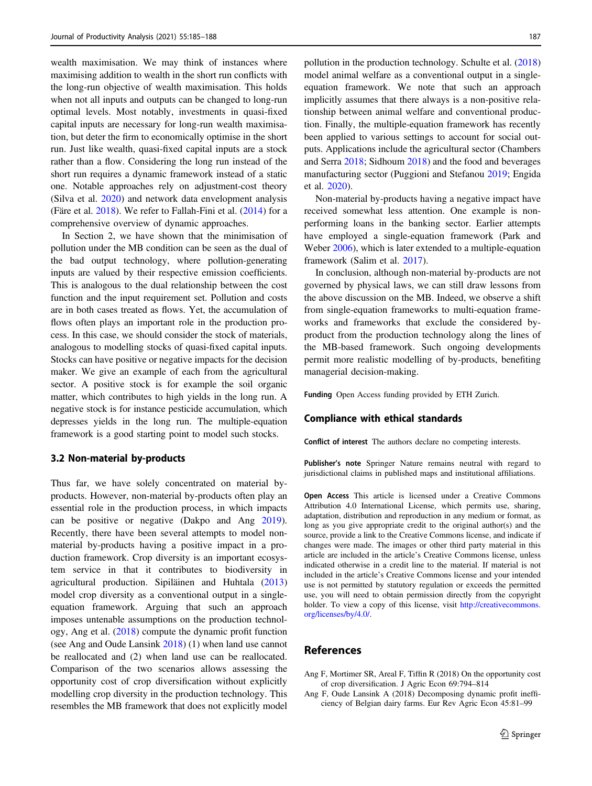wealth maximisation. We may think of instances where maximising addition to wealth in the short run conflicts with the long-run objective of wealth maximisation. This holds when not all inputs and outputs can be changed to long-run optimal levels. Most notably, investments in quasi-fixed capital inputs are necessary for long-run wealth maximisation, but deter the firm to economically optimise in the short run. Just like wealth, quasi-fixed capital inputs are a stock rather than a flow. Considering the long run instead of the short run requires a dynamic framework instead of a static one. Notable approaches rely on adjustment-cost theory (Silva et al. [2020\)](#page-3-0) and network data envelopment analysis (Färe et al. [2018\)](#page-3-0). We refer to Fallah-Fini et al. ([2014\)](#page-3-0) for a comprehensive overview of dynamic approaches.

In Section 2, we have shown that the minimisation of pollution under the MB condition can be seen as the dual of the bad output technology, where pollution-generating inputs are valued by their respective emission coefficients. This is analogous to the dual relationship between the cost function and the input requirement set. Pollution and costs are in both cases treated as flows. Yet, the accumulation of flows often plays an important role in the production process. In this case, we should consider the stock of materials, analogous to modelling stocks of quasi-fixed capital inputs. Stocks can have positive or negative impacts for the decision maker. We give an example of each from the agricultural sector. A positive stock is for example the soil organic matter, which contributes to high yields in the long run. A negative stock is for instance pesticide accumulation, which depresses yields in the long run. The multiple-equation framework is a good starting point to model such stocks.

#### 3.2 Non-material by-products

Thus far, we have solely concentrated on material byproducts. However, non-material by-products often play an essential role in the production process, in which impacts can be positive or negative (Dakpo and Ang [2019](#page-3-0)). Recently, there have been several attempts to model nonmaterial by-products having a positive impact in a production framework. Crop diversity is an important ecosystem service in that it contributes to biodiversity in agricultural production. Sipiläinen and Huhtala ([2013\)](#page-3-0) model crop diversity as a conventional output in a singleequation framework. Arguing that such an approach imposes untenable assumptions on the production technology, Ang et al. (2018) compute the dynamic profit function (see Ang and Oude Lansink 2018) (1) when land use cannot be reallocated and (2) when land use can be reallocated. Comparison of the two scenarios allows assessing the opportunity cost of crop diversification without explicitly modelling crop diversity in the production technology. This resembles the MB framework that does not explicitly model pollution in the production technology. Schulte et al. [\(2018](#page-3-0)) model animal welfare as a conventional output in a singleequation framework. We note that such an approach implicitly assumes that there always is a non-positive relationship between animal welfare and conventional production. Finally, the multiple-equation framework has recently been applied to various settings to account for social outputs. Applications include the agricultural sector (Chambers and Serra [2018](#page-3-0); Sidhoum [2018\)](#page-3-0) and the food and beverages manufacturing sector (Puggioni and Stefanou [2019;](#page-3-0) Engida et al. [2020](#page-3-0)).

Non-material by-products having a negative impact have received somewhat less attention. One example is nonperforming loans in the banking sector. Earlier attempts have employed a single-equation framework (Park and Weber [2006\)](#page-3-0), which is later extended to a multiple-equation framework (Salim et al. [2017](#page-3-0)).

In conclusion, although non-material by-products are not governed by physical laws, we can still draw lessons from the above discussion on the MB. Indeed, we observe a shift from single-equation frameworks to multi-equation frameworks and frameworks that exclude the considered byproduct from the production technology along the lines of the MB-based framework. Such ongoing developments permit more realistic modelling of by-products, benefiting managerial decision-making.

Funding Open Access funding provided by ETH Zurich.

#### Compliance with ethical standards

Conflict of interest The authors declare no competing interests.

Publisher's note Springer Nature remains neutral with regard to jurisdictional claims in published maps and institutional affiliations.

Open Access This article is licensed under a Creative Commons Attribution 4.0 International License, which permits use, sharing, adaptation, distribution and reproduction in any medium or format, as long as you give appropriate credit to the original author(s) and the source, provide a link to the Creative Commons license, and indicate if changes were made. The images or other third party material in this article are included in the article's Creative Commons license, unless indicated otherwise in a credit line to the material. If material is not included in the article's Creative Commons license and your intended use is not permitted by statutory regulation or exceeds the permitted use, you will need to obtain permission directly from the copyright holder. To view a copy of this license, visit [http://creativecommons.](http://creativecommons.org/licenses/by/4.0/) [org/licenses/by/4.0/](http://creativecommons.org/licenses/by/4.0/).

### References

- Ang F, Mortimer SR, Areal F, Tiffin R (2018) On the opportunity cost of crop diversification. J Agric Econ 69:794–814
- Ang F, Oude Lansink A (2018) Decomposing dynamic profit inefficiency of Belgian dairy farms. Eur Rev Agric Econ 45:81–99